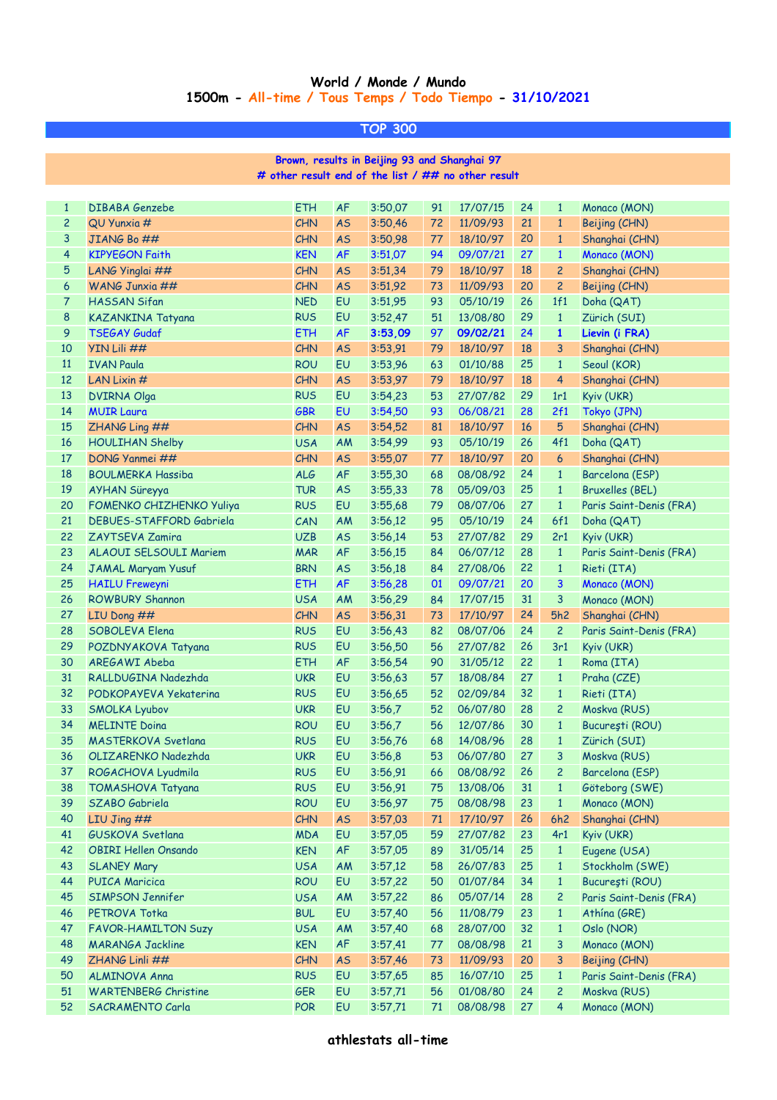## **World / Monde / Mundo 1500m - All-time / Tous Temps / Todo Tiempo - 31/10/2021**

**TOP 300**

**# other result end of the list / ## no other result Brown, results in Beijing 93 and Shanghai 97**

| $\mathbf{1}$     | <b>DIBABA Genzebe</b>                     | <b>ETH</b> | <b>AF</b> | 3:50,07 | 91     | 17/07/15             | 24 | $\mathbf{1}$   | Monaco (MON)            |
|------------------|-------------------------------------------|------------|-----------|---------|--------|----------------------|----|----------------|-------------------------|
| $\overline{c}$   | QU Yunxia #                               | <b>CHN</b> | <b>AS</b> | 3:50,46 | 72     | 11/09/93             | 21 | $\mathbf{1}$   | Beijing (CHN)           |
| 3                | JIANG Bo ##                               | CHN        | <b>AS</b> | 3:50,98 | 77     | 18/10/97             | 20 | $\mathbf{1}$   | Shanghai (CHN)          |
| $\overline{4}$   | <b>KIPYEGON Faith</b>                     | <b>KEN</b> | <b>AF</b> | 3:51,07 | 94     | 09/07/21             | 27 | $\mathbf{1}$   | Monaco (MON)            |
| $\sqrt{5}$       | LANG Yinglai ##                           | CHN        | <b>AS</b> | 3:51,34 | 79     | 18/10/97             | 18 | $\overline{c}$ | Shanghai (CHN)          |
| $\boldsymbol{6}$ | WANG Junxia ##                            | CHN        | <b>AS</b> | 3:51,92 | 73     | 11/09/93             | 20 | $\overline{c}$ | Beijing (CHN)           |
| $\overline{7}$   | <b>HASSAN Sifan</b>                       | <b>NED</b> | EU        | 3:51,95 | 93     | 05/10/19             | 26 | 1f1            | Doha (QAT)              |
| 8                | KAZANKINA Tatyana                         | <b>RUS</b> | EU        | 3:52,47 | 51     | 13/08/80             | 29 | $\mathbf{1}$   | Zürich (SUI)            |
| $\overline{9}$   | <b>TSEGAY Gudaf</b>                       | <b>ETH</b> | <b>AF</b> | 3:53,09 | 97     | 09/02/21             | 24 | $\mathbf{1}$   | Lievin (i FRA)          |
| 10               | YIN Lili ##                               | CHN        | <b>AS</b> | 3:53,91 | 79     | 18/10/97             | 18 | 3              | Shanghai (CHN)          |
| 11               | <b>IVAN Paula</b>                         | <b>ROU</b> | EU        | 3:53,96 | 63     | 01/10/88             | 25 | $\mathbf{1}$   | Seoul (KOR)             |
| $12$             | LAN Lixin #                               | CHN        | <b>AS</b> | 3:53,97 | 79     | 18/10/97             | 18 | 4              | Shanghai (CHN)          |
| 13               | <b>DVIRNA Olga</b>                        | <b>RUS</b> | EU        | 3:54,23 | 53     | 27/07/82             | 29 | 1r1            | Kyiv (UKR)              |
| 14               | <b>MUIR Laura</b>                         | <b>GBR</b> | EU        | 3:54,50 | 93     | 06/08/21             | 28 | 2f1            | Tokyo (JPN)             |
| 15               | ZHANG Ling ##                             | CHN        | <b>AS</b> | 3:54,52 | 81     | 18/10/97             | 16 | 5              | Shanghai (CHN)          |
| 16               | <b>HOULIHAN Shelby</b>                    | <b>USA</b> | AM        | 3:54,99 | 93     | 05/10/19             | 26 | 4f1            | Doha (QAT)              |
| 17               | DONG Yanmei ##                            | CHN        | <b>AS</b> | 3:55,07 | 77     | 18/10/97             | 20 | 6              | Shanghai (CHN)          |
| 18               | <b>BOULMERKA Hassiba</b>                  | ALG        | AF        | 3:55,30 | 68     | 08/08/92             | 24 | $\mathbf{1}$   | Barcelona (ESP)         |
| 19               | AYHAN Süreyya                             | <b>TUR</b> | <b>AS</b> | 3:55,33 | 78     | 05/09/03             | 25 | $\mathbf{1}$   | <b>Bruxelles (BEL)</b>  |
| 20               | FOMENKO CHIZHENKO Yuliya                  | <b>RUS</b> | EU        | 3:55,68 | 79     | 08/07/06             | 27 | $\mathbf{1}$   | Paris Saint-Denis (FRA) |
| 21               | <b>DEBUES-STAFFORD Gabriela</b>           | CAN        | AM        | 3:56,12 | 95     | 05/10/19             | 24 | 6f1            | Doha (QAT)              |
| 22               | ZAYTSEVA Zamira                           | <b>UZB</b> | <b>AS</b> | 3:56,14 | 53     | 27/07/82             | 29 | 2r1            | Kyiv (UKR)              |
| 23               | ALAOUI SELSOULI Mariem                    | <b>MAR</b> | AF        | 3:56,15 | 84     | 06/07/12             | 28 | $\mathbf{1}$   | Paris Saint-Denis (FRA) |
| 24               | JAMAL Maryam Yusuf                        | <b>BRN</b> | <b>AS</b> | 3:56,18 | 84     | 27/08/06             | 22 | $\mathbf{1}$   | Rieti (ITA)             |
| 25               | <b>HAILU Freweyni</b>                     | <b>ETH</b> | <b>AF</b> | 3:56,28 | 01     | 09/07/21             | 20 | 3              | Monaco (MON)            |
| 26               | <b>ROWBURY Shannon</b>                    | <b>USA</b> | AM        | 3:56,29 | 84     | 17/07/15             | 31 | 3              | Monaco (MON)            |
| 27               | LIU Dong ##                               | CHN        | <b>AS</b> | 3:56,31 | 73     | 17/10/97             | 24 | 5h2            | Shanghai (CHN)          |
| 28               | SOBOLEVA Elena                            | <b>RUS</b> | EU        | 3:56,43 | 82     | 08/07/06             | 24 | $\overline{c}$ | Paris Saint-Denis (FRA) |
| 29               | POZDNYAKOVA Tatyana                       | <b>RUS</b> | EU        | 3:56,50 | 56     | 27/07/82             | 26 | 3r1            | Kyiv (UKR)              |
| 30               | AREGAWI Abeba                             | <b>ETH</b> | AF        | 3:56,54 | 90     | 31/05/12             | 22 | $\mathbf{1}$   | Roma (ITA)              |
| 31               | RALLDUGINA Nadezhda                       | <b>UKR</b> | EU        | 3:56,63 | 57     | 18/08/84             | 27 | $\mathbf{1}$   | Praha (CZE)             |
| 32               | PODKOPAYEVA Yekaterina                    | <b>RUS</b> | EU        | 3:56,65 | 52     | 02/09/84             | 32 | $\mathbf{1}$   | Rieti (ITA)             |
| 33               | <b>SMOLKA Lyubov</b>                      | <b>UKR</b> | EU        | 3:56,7  | 52     | 06/07/80             | 28 | $\overline{c}$ | Moskva (RUS)            |
| 34               | <b>MELINTE Doina</b>                      | <b>ROU</b> | EU        | 3:56,7  | 56     | 12/07/86             | 30 | $\mathbf{1}$   | București (ROU)         |
| 35               | <b>MASTERKOVA Svetlana</b>                | <b>RUS</b> | EU        | 3:56,76 | 68     | 14/08/96             | 28 | $\mathbf{1}$   | Zürich (SUI)            |
| 36               | OLIZARENKO Nadezhda                       | <b>UKR</b> | EU        | 3:56,8  | 53     | 06/07/80             | 27 | 3              | Moskva (RUS)            |
| 37               | ROGACHOVA Lyudmila                        | <b>RUS</b> | EU        | 3:56,91 | 66     | 08/08/92             | 26 | $\overline{c}$ | Barcelona (ESP)         |
| 38               | <b>TOMASHOVA Tatyana</b>                  | <b>RUS</b> | EU        | 3:56,91 | 75     | 13/08/06             | 31 | $\mathbf{1}$   | Göteborg (SWE)          |
| 39               | SZABO Gabriela                            | <b>ROU</b> | EU        | 3:56,97 | 75     | 08/08/98             | 23 | $\mathbf{1}$   | Monaco (MON)            |
| 40               | LIU Jing $##$                             | <b>CHN</b> | <b>AS</b> | 3:57,03 | 71     | 17/10/97             | 26 | 6h2            | Shanghai (CHN)          |
| 41               | GUSKOVA Svetlana                          | <b>MDA</b> | EU        | 3:57,05 | 59     | 27/07/82             | 23 | 4r1            | Kyiv (UKR)              |
| 42               | <b>OBIRI Hellen Onsando</b>               | <b>KEN</b> | AF        | 3:57,05 | 89     | 31/05/14             | 25 | $\mathbf{1}$   | Eugene (USA)            |
| 43               | <b>SLANEY Mary</b>                        | <b>USA</b> | AM        | 3:57,12 | 58     | 26/07/83             | 25 | $\mathbf{1}$   | Stockholm (SWE)         |
| 44               | <b>PUICA Maricica</b>                     | <b>ROU</b> | EU        | 3:57,22 | 50     | 01/07/84             | 34 | $\mathbf{1}$   | București (ROU)         |
| 45               | SIMPSON Jennifer                          | <b>USA</b> | AM        | 3:57,22 | 86     | 05/07/14             | 28 | $\overline{c}$ | Paris Saint-Denis (FRA) |
| 46               | PETROVA Totka                             | <b>BUL</b> | EU        | 3:57,40 | 56     | 11/08/79             | 23 | $\mathbf{1}$   | Athína (GRE)            |
| 47               | <b>FAVOR-HAMILTON Suzy</b>                | <b>USA</b> | AM        | 3:57,40 | 68     | 28/07/00             | 32 | $\mathbf{1}$   | Oslo (NOR)              |
| 48               |                                           | <b>KEN</b> | AF        | 3:57,41 | 77     |                      | 21 | 3              | Monaco (MON)            |
| 49               | <b>MARANGA Jackline</b><br>ZHANG Linli ## | <b>CHN</b> | <b>AS</b> | 3:57,46 | 73     | 08/08/98             | 20 | 3              | Beijing (CHN)           |
| 50               | <b>ALMINOVA Anna</b>                      | <b>RUS</b> | EU        | 3:57,65 | 85     | 11/09/93<br>16/07/10 | 25 | $\mathbf{1}$   | Paris Saint-Denis (FRA) |
| 51               | <b>WARTENBERG Christine</b>               | <b>GER</b> | EU        | 3:57,71 | 56     | 01/08/80             | 24 | $\overline{c}$ | Moskva (RUS)            |
| 52               |                                           |            |           |         |        |                      | 27 | $\overline{4}$ |                         |
|                  | SACRAMENTO Carla                          | <b>POR</b> | EU        | 3:57,71 | $71\,$ | 08/08/98             |    |                | Monaco (MON)            |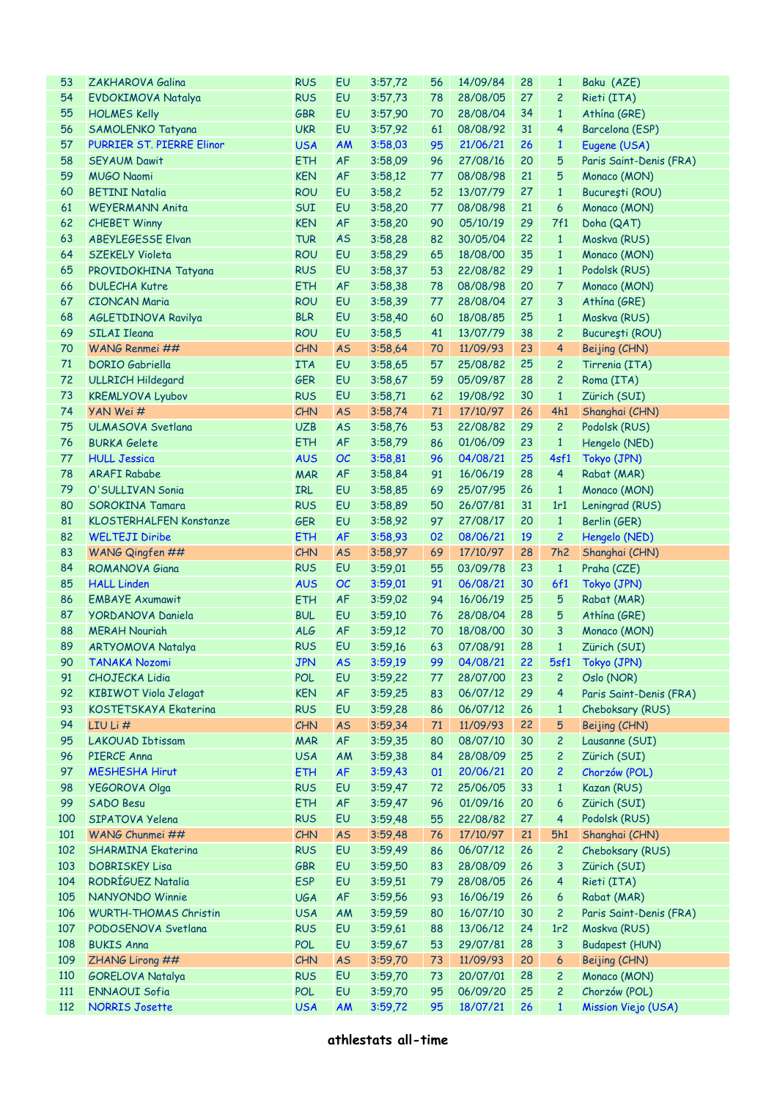| 53         | ZAKHAROVA Galina                              | <b>RUS</b>               | EU        | 3:57,72            | 56       | 14/09/84             | 28       | $\mathbf{1}$                   | Baku (AZE)                           |
|------------|-----------------------------------------------|--------------------------|-----------|--------------------|----------|----------------------|----------|--------------------------------|--------------------------------------|
| 54         |                                               | <b>RUS</b>               | EU        | 3:57,73            | 78       | 28/08/05             | 27       | $\overline{2}$                 | Rieti (ITA)                          |
|            | <b>EVDOKIMOVA Natalya</b>                     |                          |           |                    |          |                      |          |                                |                                      |
| 55         | <b>HOLMES Kelly</b>                           | <b>GBR</b>               | EU        | 3:57,90            | 70       | 28/08/04             | 34       | $\mathbf{1}$                   | Athína (GRE)                         |
| 56         | SAMOLENKO Tatyana                             | <b>UKR</b>               | EU        | 3:57,92            | 61       | 08/08/92             | 31       | $\overline{4}$                 | Barcelona (ESP)                      |
| 57         | <b>PURRIER ST. PIERRE Elinor</b>              | <b>USA</b>               | <b>AM</b> | 3:58,03            | 95       | 21/06/21             | 26       | $\mathbf{1}$                   | Eugene (USA)                         |
| 58         | <b>SEYAUM Dawit</b>                           | <b>ETH</b>               | AF        | 3:58,09            | 96       | 27/08/16             | 20       | 5                              | Paris Saint-Denis (FRA)              |
| 59         | <b>MUGO Naomi</b>                             | <b>KEN</b>               | <b>AF</b> | 3:58,12            | 77       | 08/08/98             | 21       | 5                              | Monaco (MON)                         |
| 60         | <b>BETINI Natalia</b>                         | <b>ROU</b>               | EU        | 3:58,2             | 52       | 13/07/79             | 27       | $\mathbf{1}$                   | București (ROU)                      |
| 61         | <b>WEYERMANN Anita</b>                        | SUI                      | EU        | 3:58,20            | 77       | 08/08/98             | 21       | $6\phantom{1}6$                | Monaco (MON)                         |
|            |                                               |                          |           |                    |          |                      |          |                                |                                      |
| 62         | <b>CHEBET Winny</b>                           | <b>KEN</b>               | <b>AF</b> | 3:58,20            | 90       | 05/10/19             | 29       | 7f1                            | Doha (QAT)                           |
| 63         | <b>ABEYLEGESSE Elvan</b>                      | <b>TUR</b>               | <b>AS</b> | 3:58,28            | 82       | 30/05/04             | 22       | $\mathbf{1}$                   | Moskva (RUS)                         |
| 64         | <b>SZEKELY Violeta</b>                        | <b>ROU</b>               | EU        | 3:58,29            | 65       | 18/08/00             | 35       | $\mathbf{1}$                   | Monaco (MON)                         |
| 65         | PROVIDOKHINA Tatyana                          | <b>RUS</b>               | EU        | 3:58,37            | 53       | 22/08/82             | 29       | $\mathbf{1}$                   | Podolsk (RUS)                        |
| 66         | <b>DULECHA Kutre</b>                          | <b>ETH</b>               | <b>AF</b> | 3:58,38            | 78       | 08/08/98             | 20       | $\overline{7}$                 | Monaco (MON)                         |
| 67         | <b>CIONCAN Maria</b>                          | <b>ROU</b>               | EU        | 3:58,39            | 77       | 28/08/04             | 27       | 3                              | Athina (GRE)                         |
| 68         | AGLETDINOVA Ravilya                           | <b>BLR</b>               | EU        | 3:58,40            | 60       | 18/08/85             | 25       | $\mathbf{1}$                   | Moskva (RUS)                         |
| 69         | <b>SILAI Ileana</b>                           | <b>ROU</b>               | EU        | 3:58,5             | 41       | 13/07/79             | 38       | $\overline{c}$                 | București (ROU)                      |
| 70         | WANG Renmei ##                                | <b>CHN</b>               | <b>AS</b> | 3:58,64            | 70       | 11/09/93             | 23       | $\overline{4}$                 | Beijing (CHN)                        |
|            |                                               |                          |           |                    |          |                      |          |                                |                                      |
| 71         | <b>DORIO</b> Gabriella                        | <b>ITA</b>               | EU        | 3:58,65            | 57       | 25/08/82             | 25       | $\overline{2}$                 | Tirrenia (ITA)                       |
| 72         | <b>ULLRICH Hildegard</b>                      | <b>GER</b>               | EU        | 3:58,67            | 59       | 05/09/87             | 28       | $\overline{c}$                 | Roma (ITA)                           |
| 73         | <b>KREMLYOVA Lyubov</b>                       | <b>RUS</b>               | EU        | 3:58,71            | 62       | 19/08/92             | 30       | $\mathbf{1}$                   | Zürich (SUI)                         |
| 74         | YAN Wei#                                      | <b>CHN</b>               | <b>AS</b> | 3:58,74            | 71       | 17/10/97             | 26       | 4h1                            | Shanghai (CHN)                       |
| 75         | <b>ULMASOVA Svetlana</b>                      | <b>UZB</b>               | <b>AS</b> | 3:58,76            | 53       | 22/08/82             | 29       | $\overline{c}$                 | Podolsk (RUS)                        |
| 76         | <b>BURKA Gelete</b>                           | <b>ETH</b>               | <b>AF</b> | 3:58,79            | 86       | 01/06/09             | 23       | $\mathbf{1}$                   | Hengelo (NED)                        |
| 77         | <b>HULL Jessica</b>                           | <b>AUS</b>               | OC        | 3:58,81            | 96       | 04/08/21             | 25       | 4sf1                           | Tokyo (JPN)                          |
| 78         | <b>ARAFI Rababe</b>                           | <b>MAR</b>               | <b>AF</b> | 3:58,84            | 91       | 16/06/19             | 28       | $\overline{4}$                 | Rabat (MAR)                          |
| 79         | O'SULLIVAN Sonia                              | <b>IRL</b>               | EU        |                    | 69       | 25/07/95             | 26       | $\mathbf{1}$                   |                                      |
|            |                                               |                          |           | 3:58,85            |          |                      |          |                                | Monaco (MON)                         |
| 80         | <b>SOROKINA Tamara</b>                        | <b>RUS</b>               | EU        | 3:58,89            | 50       | 26/07/81             | 31       | 1r1                            | Leningrad (RUS)                      |
| 81         | <b>KLOSTERHALFEN Konstanze</b>                | <b>GER</b>               | EU        | 3:58,92            | 97       | 27/08/17             | 20       | $\mathbf{1}$                   | Berlin (GER)                         |
|            |                                               |                          |           |                    |          |                      |          |                                |                                      |
| 82         | <b>WELTEJI Diribe</b>                         | <b>ETH</b>               | <b>AF</b> | 3:58,93            | 02       | 08/06/21             | 19       | $\overline{c}$                 | Hengelo (NED)                        |
| 83         | WANG Qingfen ##                               | <b>CHN</b>               | <b>AS</b> | 3:58,97            | 69       | 17/10/97             | 28       | 7h2                            | Shanghai (CHN)                       |
| 84         | ROMANOVA Giana                                | <b>RUS</b>               | EU        | 3:59,01            | 55       | 03/09/78             | 23       | $\mathbf{1}$                   | Praha (CZE)                          |
| 85         | <b>HALL Linden</b>                            | <b>AUS</b>               | OC        |                    | 91       | 06/08/21             | 30       | 6f1                            |                                      |
|            |                                               |                          |           | 3:59,01            |          |                      |          |                                | Tokyo (JPN)                          |
| 86         | <b>EMBAYE Axumawit</b>                        | <b>ETH</b>               | <b>AF</b> | 3:59,02            | 94       | 16/06/19             | 25       | $\sqrt{5}$                     | Rabat (MAR)                          |
| 87         | YORDANOVA Daniela                             | <b>BUL</b>               | EU        | 3:59,10            | 76       | 28/08/04             | 28       | 5                              | Athina (GRE)                         |
| 88         | <b>MERAH Nouriah</b>                          | <b>ALG</b>               | <b>AF</b> | 3:59,12            | 70       | 18/08/00             | 30       | 3                              | Monaco (MON)                         |
| 89         | <b>ARTYOMOVA Natalya</b>                      | <b>RUS</b>               | <b>EU</b> | 3:59,16            | 63       | 07/08/91             | 28       | $\mathbf{1}$                   | Zürich (SUI)                         |
| 90         | TANAKA Nozomi                                 | JPN AS                   |           | 3:59,19            |          |                      |          |                                | 99 04/08/21 22 5sf1 Tokyo (JPN)      |
| 91         | <b>CHOJECKA Lidia</b>                         | <b>POL</b>               | EU        | 3:59,22            | 77       | 28/07/00             | 23       | 2                              | Oslo (NOR)                           |
| 92         | <b>KIBIWOT Viola Jelagat</b>                  | <b>KEN</b>               | <b>AF</b> | 3:59,25            | 83       | 06/07/12             | 29       | $\overline{4}$                 | Paris Saint-Denis (FRA)              |
| 93         | KOSTETSKAYA Ekaterina                         | <b>RUS</b>               | EU        | 3:59,28            | 86       | 06/07/12             | 26       | $\mathbf{1}$                   | Cheboksary (RUS)                     |
| 94         | LIU Li#                                       | <b>CHN</b>               | <b>AS</b> | 3:59,34            | 71       | 11/09/93             | 22       | 5                              | Beijing (CHN)                        |
| 95         |                                               |                          |           |                    | 80       | 08/07/10             |          | $\overline{c}$                 | Lausanne (SUI)                       |
|            | <b>LAKOUAD Ibtissam</b>                       | <b>MAR</b>               | <b>AF</b> | 3:59,35            |          |                      | 30       |                                |                                      |
| 96         | PIERCE Anna                                   | <b>USA</b>               | AM        | 3:59,38            | 84       | 28/08/09             | 25       | $\overline{c}$                 | Zürich (SUI)                         |
| 97         | <b>MESHESHA Hirut</b>                         | <b>ETH</b>               | <b>AF</b> | 3:59,43            | 01       | 20/06/21             | 20       | $\overline{c}$                 | Chorzów (POL)                        |
| 98         | YEGOROVA Olga                                 | <b>RUS</b>               | EU        | 3:59,47            | 72       | 25/06/05             | 33       | $\mathbf{1}$                   | Kazan (RUS)                          |
| 99         | <b>SADO Besu</b>                              | <b>ETH</b>               | <b>AF</b> | 3:59,47            | 96       | 01/09/16             | 20       | $\boldsymbol{6}$               | Zürich (SUI)                         |
| 100        | SIPATOVA Yelena                               | <b>RUS</b>               | EU        | 3:59,48            | 55       | 22/08/82             | 27       | $\overline{4}$                 | Podolsk (RUS)                        |
| 101        | WANG Chunmei ##                               | <b>CHN</b>               | <b>AS</b> | 3:59,48            | 76       | 17/10/97             | 21       | 5h1                            | Shanghai (CHN)                       |
| 102        | <b>SHARMINA Ekaterina</b>                     | <b>RUS</b>               | EU        | 3:59,49            | 86       | 06/07/12             | 26       | $\overline{c}$                 | Cheboksary (RUS)                     |
| 103        | <b>DOBRISKEY Lisa</b>                         | <b>GBR</b>               | EU        | 3:59,50            | 83       | 28/08/09             | 26       | 3                              | Zürich (SUI)                         |
| 104        | RODRÍGUEZ Natalia                             | <b>ESP</b>               | EU        | 3:59,51            | 79       | 28/08/05             | 26       | $\overline{4}$                 | Rieti (ITA)                          |
| 105        | NANYONDO Winnie                               |                          |           |                    |          |                      | 26       |                                |                                      |
|            |                                               | <b>UGA</b>               | <b>AF</b> | 3:59,56            | 93       | 16/06/19             |          | 6                              | Rabat (MAR)                          |
| 106        | <b>WURTH-THOMAS Christin</b>                  | <b>USA</b>               | AM        | 3:59,59            | 80       | 16/07/10             | 30       | $\overline{c}$                 | Paris Saint-Denis (FRA)              |
| 107        | PODOSENOVA Svetlana                           | <b>RUS</b>               | EU        | 3:59,61            | 88       | 13/06/12             | 24       | 1r <sub>2</sub>                | Moskva (RUS)                         |
| 108        | <b>BUKIS Anna</b>                             | <b>POL</b>               | EU        | 3:59,67            | 53       | 29/07/81             | 28       | 3                              | <b>Budapest (HUN)</b>                |
| 109        | ZHANG Lirong ##                               | <b>CHN</b>               | <b>AS</b> | 3:59,70            | 73       | 11/09/93             | 20       | $\boldsymbol{6}$               | Beijing (CHN)                        |
| 110        | <b>GORELOVA Natalya</b>                       | <b>RUS</b>               | EU        | 3:59,70            | 73       | 20/07/01             | 28       | $\overline{c}$                 | Monaco (MON)                         |
| 111<br>112 | <b>ENNAOUI Sofia</b><br><b>NORRIS Josette</b> | <b>POL</b><br><b>USA</b> | EU<br>AM  | 3:59,70<br>3:59,72 | 95<br>95 | 06/09/20<br>18/07/21 | 25<br>26 | $\overline{c}$<br>$\mathbf{1}$ | Chorzów (POL)<br>Mission Viejo (USA) |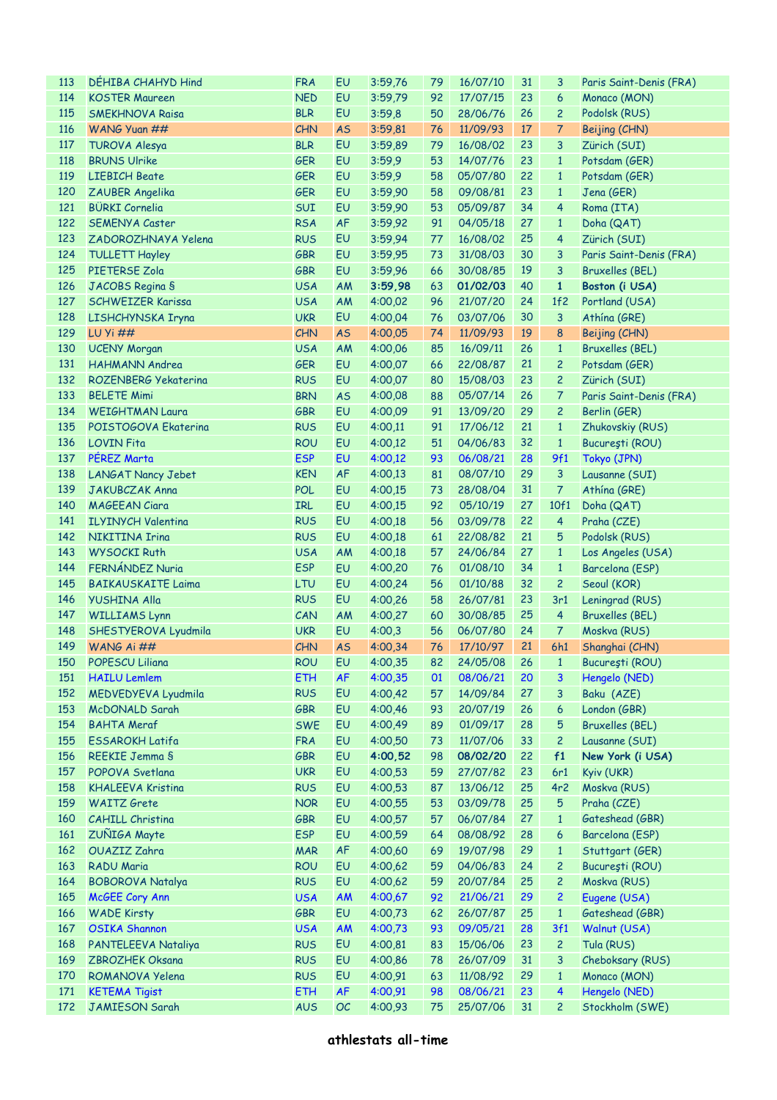| 113 | DEHIBA CHAHYD Hind        | <b>FRA</b> | EU              | 3:59.76            | 79 | 16/07/10       | 31 | 3                       | Paris Saint-Denis (FRA) |
|-----|---------------------------|------------|-----------------|--------------------|----|----------------|----|-------------------------|-------------------------|
| 114 | <b>KOSTER Maureen</b>     | <b>NED</b> | EU              | 3:59,79            | 92 | 17/07/15       | 23 | 6                       | Monaco (MON)            |
| 115 | <b>SMEKHNOVA Raisa</b>    | <b>BLR</b> | EU              | 3:59,8             | 50 | 28/06/76       | 26 | $\overline{c}$          | Podolsk (RUS)           |
| 116 | WANG Yuan ##              | <b>CHN</b> | <b>AS</b>       | 3:59,81            | 76 | 11/09/93       | 17 | 7                       | Beijing (CHN)           |
| 117 | TUROVA Alesya             | <b>BLR</b> | EU              | 3:59,89            | 79 | 16/08/02       | 23 | 3                       | Zürich (SUI)            |
| 118 | <b>BRUNS Ulrike</b>       | <b>GER</b> | EU              | 3:59.9             | 53 | 14/07/76       | 23 | $\mathbf{1}$            | Potsdam (GER)           |
| 119 | <b>LIEBICH Beate</b>      | <b>GER</b> | EU              | 3:59,9             | 58 | 05/07/80       | 22 | $\mathbf{1}$            | Potsdam (GER)           |
| 120 | ZAUBER Angelika           | <b>GER</b> | EU              | 3:59,90            | 58 | 09/08/81       | 23 | $\mathbf{1}$            | Jena (GER)              |
| 121 | <b>BÜRKI Cornelia</b>     | SUI        | EU              | 3:59,90            | 53 | 05/09/87       | 34 | $\overline{\mathbf{4}}$ | Roma (ITA)              |
| 122 | <b>SEMENYA Caster</b>     | <b>RSA</b> | <b>AF</b>       | 3:59,92            | 91 | 04/05/18       | 27 | $\mathbf{1}$            | Doha (QAT)              |
| 123 | ZADOROZHNAYA Yelena       | <b>RUS</b> | EU              | 3:59,94            | 77 | 16/08/02       | 25 | $\overline{\mathbf{4}}$ | Zürich (SUI)            |
| 124 | <b>TULLETT Hayley</b>     | <b>GBR</b> | EU              | 3:59,95            | 73 | 31/08/03       | 30 | 3                       | Paris Saint-Denis (FRA) |
| 125 | PIETERSE Zola             | <b>GBR</b> | EU              | 3:59,96            | 66 | 30/08/85       | 19 | 3                       | <b>Bruxelles (BEL)</b>  |
| 126 | JACOBS Regina S           | <b>USA</b> | AM              | 3:59,98            | 63 | 01/02/03       | 40 | $\mathbf{1}$            | Boston (i USA)          |
| 127 | <b>SCHWEIZER Karissa</b>  | <b>USA</b> | AM              | 4:00,02            | 96 | 21/07/20       | 24 | 1f2                     | Portland (USA)          |
| 128 | LISHCHYNSKA Iryna         | <b>UKR</b> | EU              | 4:00,04            | 76 | 03/07/06       | 30 | 3                       | Athína (GRE)            |
| 129 | <b>LU Yi ##</b>           | CHN        | <b>AS</b>       | 4:00,05            | 74 | 11/09/93       | 19 | 8                       | Beijing (CHN)           |
| 130 | <b>UCENY Morgan</b>       | <b>USA</b> | AM              | 4:00,06            | 85 | 16/09/11       | 26 | $\mathbf{1}$            | <b>Bruxelles (BEL)</b>  |
| 131 | <b>HAHMANN Andrea</b>     | <b>GER</b> | EU              | 4:00,07            | 66 | 22/08/87       | 21 | $\overline{c}$          | Potsdam (GER)           |
| 132 | ROZENBERG Yekaterina      | <b>RUS</b> | EU              | 4:00,07            | 80 | 15/08/03       | 23 | $\overline{c}$          | Zürich (SUI)            |
| 133 | <b>BELETE Mimi</b>        | <b>BRN</b> | <b>AS</b>       | 4:00,08            | 88 | 05/07/14       | 26 | $\overline{7}$          | Paris Saint-Denis (FRA) |
| 134 | <b>WEIGHTMAN Laura</b>    | <b>GBR</b> | EU              | 4:00,09            | 91 | 13/09/20       | 29 | $\overline{c}$          | Berlin (GER)            |
| 135 | POISTOGOVA Ekaterina      | <b>RUS</b> | EU              |                    | 91 | 17/06/12       | 21 | $\mathbf{1}$            |                         |
| 136 | <b>LOVIN Fita</b>         | <b>ROU</b> | EU              | 4:00,11<br>4:00,12 | 51 | 04/06/83       | 32 | $\mathbf{1}$            | Zhukovskiy (RUS)        |
|     | PÉREZ Marta               | <b>ESP</b> |                 |                    |    |                | 28 |                         | București (ROU)         |
| 137 |                           |            | EU              | 4:00,12            | 93 | 06/08/21       |    | 9f1                     | Tokyo (JPN)             |
| 138 | <b>LANGAT Nancy Jebet</b> | <b>KEN</b> | <b>AF</b>       | 4:00,13            | 81 | 08/07/10       | 29 | 3                       | Lausanne (SUI)          |
| 139 | <b>JAKUBCZAK Anna</b>     | <b>POL</b> | EU              | 4:00,15            | 73 | 28/08/04       | 31 | $\overline{7}$          | Athina (GRE)            |
| 140 | <b>MAGEEAN Ciara</b>      | <b>IRL</b> | EU              | 4:00,15            | 92 | 05/10/19       | 27 | 10f1                    | Doha (QAT)              |
| 141 | <b>ILYINYCH Valentina</b> | <b>RUS</b> | EU              | 4:00,18            | 56 | 03/09/78       | 22 | $\overline{4}$          | Praha (CZE)             |
| 142 | NIKITINA Irina            | <b>RUS</b> | EU              | 4:00,18            | 61 | 22/08/82       | 21 | 5                       | Podolsk (RUS)           |
| 143 | <b>WYSOCKI Ruth</b>       | <b>USA</b> | AM              | 4:00,18            | 57 | 24/06/84       | 27 | $\mathbf{1}$            | Los Angeles (USA)       |
| 144 | FERNÁNDEZ Nuria           | <b>ESP</b> | EU              | 4:00,20            | 76 | 01/08/10       | 34 | $\mathbf{1}$            | Barcelona (ESP)         |
| 145 | <b>BAIKAUSKAITE Laima</b> | LTU        | EU              | 4:00,24            | 56 | 01/10/88       | 32 | $\overline{c}$          | Seoul (KOR)             |
| 146 | <b>YUSHINA Alla</b>       | <b>RUS</b> | EU              | 4:00,26            | 58 | 26/07/81       | 23 | 3r1                     | Leningrad (RUS)         |
| 147 | <b>WILLIAMS Lynn</b>      | CAN        | AM              | 4:00,27            | 60 | 30/08/85       | 25 | $\overline{4}$          | <b>Bruxelles (BEL)</b>  |
| 148 | SHESTYEROVA Lyudmila      | <b>UKR</b> | EU              | 4:00,3             | 56 | 06/07/80       | 24 | $\overline{7}$          | Moskva (RUS)            |
| 149 | WANG Ai ##                | CHN        | <b>AS</b>       | 4:00,34            | 76 | 17/10/97       | 21 | 6h1                     | Shanghai (CHN)          |
|     | 150 POPESCU Liliana       | <b>ROU</b> | EU <sub>1</sub> | 4:00,35            |    | 82 24/05/08 26 |    |                         | 1 București (ROU)       |
| 151 | <b>HAILU Lemlem</b>       | <b>ETH</b> | <b>AF</b>       | 4:00,35            | 01 | 08/06/21       | 20 | 3                       | Hengelo (NED)           |
| 152 | MEDVEDYEVA Lyudmila       | <b>RUS</b> | EU              | 4:00,42            | 57 | 14/09/84       | 27 | 3                       | Baku (AZE)              |
| 153 | <b>McDONALD Sarah</b>     | <b>GBR</b> | EU              | 4:00,46            | 93 | 20/07/19       | 26 | 6                       | London (GBR)            |
| 154 | <b>BAHTA Meraf</b>        | <b>SWE</b> | EU              | 4:00,49            | 89 | 01/09/17       | 28 | 5                       | <b>Bruxelles (BEL)</b>  |
| 155 | <b>ESSAROKH Latifa</b>    | <b>FRA</b> | EU              | 4:00,50            | 73 | 11/07/06       | 33 | $\overline{c}$          | Lausanne (SUI)          |
| 156 | REEKIE Jemma S            | <b>GBR</b> | EU              | 4:00,52            | 98 | 08/02/20       | 22 | f1                      | New York (i USA)        |
| 157 | POPOVA Svetlana           | <b>UKR</b> | EU              | 4:00,53            | 59 | 27/07/82       | 23 | 6r1                     | Kyiv (UKR)              |
| 158 | <b>KHALEEVA Kristina</b>  | <b>RUS</b> | EU              | 4:00,53            | 87 | 13/06/12       | 25 | 4r <sub>2</sub>         | Moskva (RUS)            |
| 159 | <b>WAITZ</b> Grete        | <b>NOR</b> | EU              | 4:00,55            | 53 | 03/09/78       | 25 | 5                       | Praha (CZE)             |
| 160 | <b>CAHILL Christina</b>   | <b>GBR</b> | EU              | 4:00,57            | 57 | 06/07/84       | 27 | $\mathbf{1}$            | Gateshead (GBR)         |
| 161 | ZUÑIGA Mayte              | <b>ESP</b> | EU              | 4:00,59            | 64 | 08/08/92       | 28 | $\boldsymbol{6}$        | Barcelona (ESP)         |
| 162 | OUAZIZ Zahra              | <b>MAR</b> | AF              | 4:00,60            | 69 | 19/07/98       | 29 | $\mathbf{1}$            | Stuttgart (GER)         |
| 163 | RADU Maria                | <b>ROU</b> | EU              | 4:00,62            | 59 | 04/06/83       | 24 | $\overline{c}$          | București (ROU)         |
| 164 | <b>BOBOROVA Natalya</b>   | <b>RUS</b> | EU              | 4:00,62            | 59 | 20/07/84       | 25 | $\overline{c}$          | Moskva (RUS)            |
| 165 | McGEE Cory Ann            | <b>USA</b> | <b>AM</b>       | 4:00,67            | 92 | 21/06/21       | 29 | $\overline{c}$          | Eugene (USA)            |
| 166 | <b>WADE Kirsty</b>        | <b>GBR</b> | EU              | 4:00,73            | 62 | 26/07/87       | 25 | $\mathbf{1}$            | Gateshead (GBR)         |
| 167 | <b>OSIKA Shannon</b>      | <b>USA</b> | <b>AM</b>       | 4:00,73            | 93 | 09/05/21       | 28 | 3f1                     | Walnut (USA)            |
| 168 | PANTELEEVA Nataliya       | <b>RUS</b> | EU              | 4:00,81            | 83 | 15/06/06       | 23 | $\overline{c}$          | Tula (RUS)              |
| 169 | <b>ZBROZHEK Oksana</b>    | <b>RUS</b> | EU              | 4:00,86            | 78 | 26/07/09       | 31 | 3                       | Cheboksary (RUS)        |
| 170 | ROMANOVA Yelena           | <b>RUS</b> | EU              | 4:00,91            | 63 | 11/08/92       | 29 | $\mathbf{1}$            | Monaco (MON)            |
| 171 | <b>KETEMA Tigist</b>      | <b>ETH</b> | AF              | 4:00,91            | 98 | 08/06/21       | 23 | 4                       | Hengelo (NED)           |
| 172 | <b>JAMIESON Sarah</b>     | <b>AUS</b> | OC              | 4:00,93            | 75 | 25/07/06       | 31 | $\overline{c}$          | Stockholm (SWE)         |
|     |                           |            |                 |                    |    |                |    |                         |                         |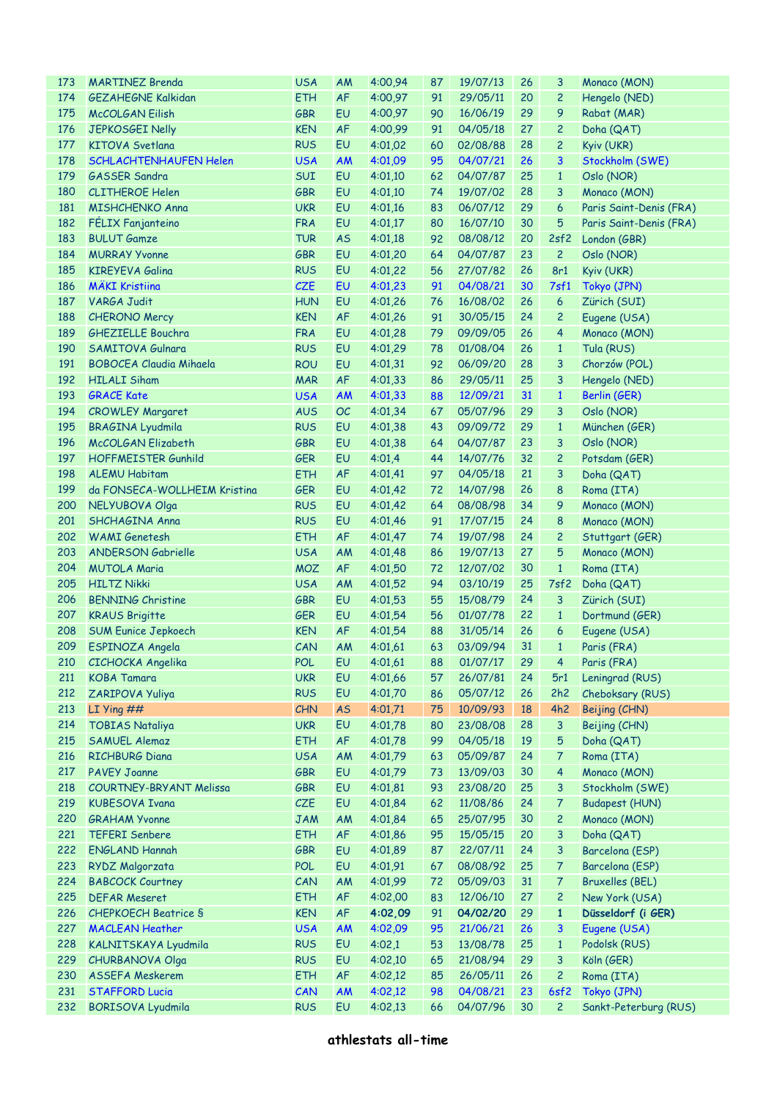| 173 | <b>MARTINEZ Brenda</b>         | <b>USA</b> | AM        | 4:00,94 | 87 | 19/07/13       | 26 | 3              | Monaco (MON)            |
|-----|--------------------------------|------------|-----------|---------|----|----------------|----|----------------|-------------------------|
| 174 | <b>GEZAHEGNE Kalkidan</b>      | <b>ETH</b> | <b>AF</b> | 4:00,97 | 91 | 29/05/11       | 20 | $\overline{c}$ | Hengelo (NED)           |
| 175 | <b>McCOLGAN Eilish</b>         | <b>GBR</b> | EU        | 4:00,97 | 90 | 16/06/19       | 29 | 9              | Rabat (MAR)             |
| 176 | JEPKOSGEI Nelly                | <b>KEN</b> | <b>AF</b> | 4:00,99 | 91 | 04/05/18       | 27 | $\overline{c}$ | Doha (QAT)              |
| 177 | <b>KITOVA Svetlana</b>         | <b>RUS</b> | EU        | 4:01.02 | 60 | 02/08/88       | 28 | $\overline{c}$ | Kyiv (UKR)              |
| 178 | SCHLACHTENHAUFEN Helen         | <b>USA</b> | <b>AM</b> | 4:01,09 | 95 | 04/07/21       | 26 | 3              | Stockholm (SWE)         |
| 179 | <b>GASSER Sandra</b>           | SUI        | EU        | 4:01,10 | 62 | 04/07/87       | 25 | $\mathbf{1}$   | Oslo (NOR)              |
| 180 | <b>CLITHEROE Helen</b>         | <b>GBR</b> | EU        | 4:01,10 | 74 | 19/07/02       | 28 | 3              | Monaco (MON)            |
| 181 | <b>MISHCHENKO Anna</b>         | <b>UKR</b> | EU        | 4:01,16 | 83 | 06/07/12       | 29 | 6              | Paris Saint-Denis (FRA) |
| 182 | FÉLIX Fanjanteino              | <b>FRA</b> | EU        | 4:01,17 | 80 | 16/07/10       | 30 | 5              | Paris Saint-Denis (FRA) |
| 183 | <b>BULUT Gamze</b>             | <b>TUR</b> | <b>AS</b> | 4:01,18 | 92 | 08/08/12       | 20 | 2sf2           | London (GBR)            |
| 184 | <b>MURRAY Yvonne</b>           | <b>GBR</b> | EU        | 4:01,20 | 64 | 04/07/87       | 23 | $\overline{c}$ | Oslo (NOR)              |
| 185 | <b>KIREYEVA Galina</b>         | <b>RUS</b> | EU        | 4:01,22 | 56 | 27/07/82       | 26 | 8r1            | Kyiv (UKR)              |
| 186 | <b>MÄKI Kristiina</b>          | <b>CZE</b> | EU        | 4:01,23 | 91 | 04/08/21       | 30 | 7sf1           | Tokyo (JPN)             |
| 187 | <b>VARGA Judit</b>             | <b>HUN</b> | EU        | 4:01,26 | 76 | 16/08/02       | 26 | 6              | Zürich (SUI)            |
| 188 | <b>CHERONO Mercy</b>           | <b>KEN</b> | AF        | 4:01,26 | 91 | 30/05/15       | 24 | $\overline{c}$ | Eugene (USA)            |
| 189 | <b>GHEZIELLE Bouchra</b>       | <b>FRA</b> | EU        | 4:01,28 | 79 | 09/09/05       | 26 | 4              | Monaco (MON)            |
| 190 | <b>SAMITOVA Gulnara</b>        | <b>RUS</b> | EU        | 4:01,29 | 78 | 01/08/04       | 26 | $\mathbf{1}$   | Tula (RUS)              |
| 191 | <b>BOBOCEA Claudia Mihaela</b> | <b>ROU</b> | EU        | 4:01,31 | 92 | 06/09/20       | 28 | 3              | Chorzów (POL)           |
| 192 | <b>HILALI Siham</b>            | <b>MAR</b> | <b>AF</b> | 4:01,33 | 86 | 29/05/11       | 25 | 3              | Hengelo (NED)           |
| 193 | <b>GRACE Kate</b>              | <b>USA</b> |           |         | 88 | 12/09/21       | 31 | $\mathbf{1}$   |                         |
|     |                                |            | <b>AM</b> | 4:01,33 |    | 05/07/96       |    |                | Berlin (GER)            |
| 194 | <b>CROWLEY Margaret</b>        | <b>AUS</b> | OC        | 4:01,34 | 67 |                | 29 | 3              | Oslo (NOR)              |
| 195 | <b>BRAGINA Lyudmila</b>        | <b>RUS</b> | EU        | 4:01,38 | 43 | 09/09/72       | 29 | $\mathbf{1}$   | München (GER)           |
| 196 | McCOLGAN Elizabeth             | <b>GBR</b> | EU        | 4:01,38 | 64 | 04/07/87       | 23 | 3              | Oslo (NOR)              |
| 197 | <b>HOFFMEISTER Gunhild</b>     | <b>GER</b> | EU        | 4:01,4  | 44 | 14/07/76       | 32 | $\overline{c}$ | Potsdam (GER)           |
| 198 | <b>ALEMU Habitam</b>           | <b>ETH</b> | <b>AF</b> | 4:01,41 | 97 | 04/05/18       | 21 | 3              | Doha (QAT)              |
| 199 | da FONSECA-WOLLHEIM Kristina   | <b>GER</b> | EU        | 4:01,42 | 72 | 14/07/98       | 26 | 8              | Roma (ITA)              |
| 200 | NELYUBOVA Olga                 | <b>RUS</b> | EU        | 4:01,42 | 64 | 08/08/98       | 34 | 9              | Monaco (MON)            |
| 201 | SHCHAGINA Anna                 | <b>RUS</b> | EU        | 4:01,46 | 91 | 17/07/15       | 24 | 8              | Monaco (MON)            |
| 202 | <b>WAMI</b> Genetesh           | <b>ETH</b> | <b>AF</b> | 4:01,47 | 74 | 19/07/98       | 24 | $\overline{c}$ | Stuttgart (GER)         |
| 203 | <b>ANDERSON Gabrielle</b>      | <b>USA</b> | AM        | 4:01,48 | 86 | 19/07/13       | 27 | 5              | Monaco (MON)            |
| 204 | <b>MUTOLA Maria</b>            | <b>MOZ</b> | <b>AF</b> | 4:01,50 | 72 | 12/07/02       | 30 | $\mathbf{1}$   | Roma (ITA)              |
| 205 | <b>HILTZ Nikki</b>             | <b>USA</b> | AM        | 4:01,52 | 94 | 03/10/19       | 25 | 7sf2           | Doha (QAT)              |
| 206 | <b>BENNING Christine</b>       | <b>GBR</b> | EU        | 4:01.53 | 55 | 15/08/79       | 24 | 3              | Zürich (SUI)            |
| 207 | <b>KRAUS Brigitte</b>          | <b>GER</b> | EU        | 4:01.54 | 56 | 01/07/78       | 22 | $\mathbf{1}$   | Dortmund (GER)          |
| 208 | <b>SUM Eunice Jepkoech</b>     | <b>KEN</b> | <b>AF</b> | 4:01,54 | 88 | 31/05/14       | 26 | 6              | Eugene (USA)            |
| 209 | ESPINOZA Angela                | CAN        | AM        | 4:01,61 | 63 | 03/09/94       | 31 | $\mathbf{1}$   | Paris (FRA)             |
|     | 210 CICHOCKA Angelika          | <b>POL</b> | <b>EU</b> | 4:01,61 |    | 88 01/07/17 29 |    | $4 -$          | Paris (FRA)             |
| 211 | <b>KOBA Tamara</b>             | <b>UKR</b> | EU        | 4:01,66 | 57 | 26/07/81       | 24 | 5r1            | Leningrad (RUS)         |
| 212 | ZARIPOVA Yuliya                | <b>RUS</b> | EU        | 4:01,70 | 86 | 05/07/12       | 26 | 2h2            | Cheboksary (RUS)        |
| 213 | LI Ying $##$                   | CHN        | <b>AS</b> | 4:01,71 | 75 | 10/09/93       | 18 | 4h2            | Beijing (CHN)           |
| 214 | <b>TOBIAS Nataliya</b>         | <b>UKR</b> | EU        | 4:01,78 | 80 | 23/08/08       | 28 | 3              | Beijing (CHN)           |
| 215 | SAMUEL Alemaz                  | <b>ETH</b> | AF        | 4:01,78 | 99 | 04/05/18       | 19 | 5              | Doha (QAT)              |
| 216 | <b>RICHBURG Diana</b>          | <b>USA</b> | AM        | 4:01,79 | 63 | 05/09/87       | 24 | 7              | Roma (ITA)              |
| 217 | <b>PAVEY Joanne</b>            | <b>GBR</b> | EU        | 4:01,79 | 73 | 13/09/03       | 30 | 4              | Monaco (MON)            |
| 218 | <b>COURTNEY-BRYANT Melissa</b> | <b>GBR</b> | EU        | 4:01,81 | 93 | 23/08/20       | 25 | 3              | Stockholm (SWE)         |
| 219 | <b>KUBESOVA Ivana</b>          | CZE        | EU        | 4:01,84 | 62 | 11/08/86       | 24 | 7              | <b>Budapest (HUN)</b>   |
| 220 | <b>GRAHAM Yvonne</b>           | <b>JAM</b> | AM        | 4:01,84 | 65 | 25/07/95       | 30 | $\overline{c}$ | Monaco (MON)            |
| 221 | <b>TEFERI Senbere</b>          | <b>ETH</b> | AF        | 4:01,86 | 95 | 15/05/15       | 20 | 3              | Doha (QAT)              |
| 222 | <b>ENGLAND Hannah</b>          | <b>GBR</b> | EU        | 4:01,89 | 87 | 22/07/11       | 24 | 3              | Barcelona (ESP)         |
| 223 | RYDZ Malgorzata                | <b>POL</b> | EU        | 4:01,91 | 67 | 08/08/92       | 25 | 7              | Barcelona (ESP)         |
| 224 | <b>BABCOCK Courtney</b>        | CAN        | AM        | 4:01,99 | 72 | 05/09/03       | 31 | 7              | <b>Bruxelles (BEL)</b>  |
| 225 | <b>DEFAR Meseret</b>           | <b>ETH</b> | AF        | 4:02,00 | 83 | 12/06/10       | 27 | 2              | New York (USA)          |
| 226 | <b>CHEPKOECH Beatrice S</b>    | <b>KEN</b> | AF        | 4:02,09 | 91 | 04/02/20       | 29 | $\mathbf{1}$   | Düsseldorf (i GER)      |
| 227 | <b>MACLEAN Heather</b>         | <b>USA</b> | <b>AM</b> | 4:02,09 | 95 | 21/06/21       | 26 | 3              | Eugene (USA)            |
| 228 | KALNITSKAYA Lyudmila           | <b>RUS</b> | EU        | 4:02,1  | 53 | 13/08/78       | 25 | $\mathbf{1}$   | Podolsk (RUS)           |
| 229 | <b>CHURBANOVA Olga</b>         | <b>RUS</b> | EU        | 4:02,10 | 65 | 21/08/94       | 29 | 3              | Köln (GER)              |
| 230 | <b>ASSEFA Meskerem</b>         | <b>ETH</b> | AF        | 4:02,12 | 85 | 26/05/11       | 26 | $\overline{c}$ | Roma (ITA)              |
| 231 | <b>STAFFORD Lucia</b>          | CAN        | <b>AM</b> | 4:02,12 | 98 | 04/08/21       | 23 | 6sf2           | Tokyo (JPN)             |
| 232 | <b>BORISOVA Lyudmila</b>       | <b>RUS</b> | EU        | 4:02,13 | 66 | 04/07/96       | 30 | $\overline{c}$ | Sankt-Peterburg (RUS)   |
|     |                                |            |           |         |    |                |    |                |                         |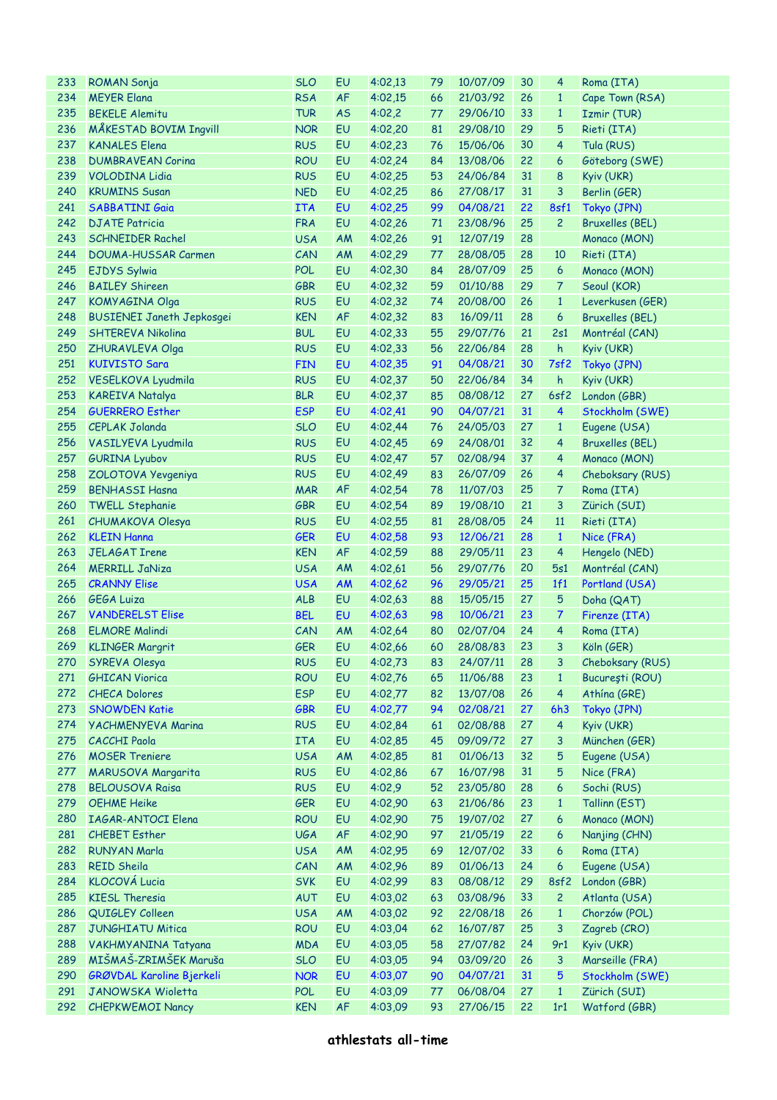| 233 | <b>ROMAN Sonja</b>               | <b>SLO</b> | EU        | 4:02,13    | 79 | 10/07/09    | 30 | 4                       | Roma (ITA)             |
|-----|----------------------------------|------------|-----------|------------|----|-------------|----|-------------------------|------------------------|
| 234 | <b>MEYER Elana</b>               | <b>RSA</b> | <b>AF</b> | 4:02,15    | 66 | 21/03/92    | 26 | $\mathbf{1}$            | Cape Town (RSA)        |
| 235 | <b>BEKELE Alemitu</b>            | <b>TUR</b> | <b>AS</b> | 4:02,2     | 77 | 29/06/10    | 33 | $\mathbf{1}$            | Izmir (TUR)            |
| 236 | <b>MÅKESTAD BOVIM Ingvill</b>    | <b>NOR</b> | EU        | 4:02,20    | 81 | 29/08/10    | 29 | 5                       | Rieti (ITA)            |
| 237 | <b>KANALES Elena</b>             | <b>RUS</b> | EU        | 4:02,23    | 76 | 15/06/06    | 30 | $\overline{4}$          | Tula (RUS)             |
| 238 | <b>DUMBRAVEAN Corina</b>         | <b>ROU</b> | EU        | 4:02,24    | 84 | 13/08/06    | 22 | 6                       | Göteborg (SWE)         |
| 239 | <b>VOLODINA Lidia</b>            | <b>RUS</b> | EU        | 4:02,25    | 53 | 24/06/84    | 31 | 8                       | Kyiv (UKR)             |
| 240 | <b>KRUMINS Susan</b>             | <b>NED</b> | EU        | 4:02,25    | 86 | 27/08/17    | 31 | 3                       | Berlin (GER)           |
| 241 | <b>SABBATINI Gaia</b>            | <b>ITA</b> | EU        | 4:02,25    | 99 | 04/08/21    | 22 | 8sf1                    | Tokyo (JPN)            |
| 242 | <b>DJATE Patricia</b>            | <b>FRA</b> | EU        | 4:02,26    | 71 | 23/08/96    | 25 | $\overline{c}$          | <b>Bruxelles (BEL)</b> |
| 243 | <b>SCHNEIDER Rachel</b>          | <b>USA</b> | AM        | 4:02,26    | 91 | 12/07/19    | 28 |                         | Monaco (MON)           |
| 244 | <b>DOUMA-HUSSAR Carmen</b>       | CAN        | AM        | 4:02,29    | 77 | 28/08/05    | 28 | 10                      | Rieti (ITA)            |
| 245 | EJDYS Sylwia                     | <b>POL</b> | EU        | 4:02,30    | 84 | 28/07/09    | 25 | 6                       | Monaco (MON)           |
| 246 | <b>BAILEY Shireen</b>            | <b>GBR</b> | EU        | 4:02,32    | 59 | 01/10/88    | 29 | 7                       | Seoul (KOR)            |
| 247 |                                  | <b>RUS</b> | EU        |            | 74 | 20/08/00    | 26 |                         |                        |
|     | KOMYAGINA Olga                   |            |           | 4:02,32    |    |             |    | $\mathbf{1}$            | Leverkusen (GER)       |
| 248 | <b>BUSIENEI Janeth Jepkosgei</b> | <b>KEN</b> | AF        | 4:02,32    | 83 | 16/09/11    | 28 | 6                       | <b>Bruxelles (BEL)</b> |
| 249 | <b>SHTEREVA Nikolina</b>         | <b>BUL</b> | EU        | 4:02,33    | 55 | 29/07/76    | 21 | 2s1                     | Montréal (CAN)         |
| 250 | ZHURAVLEVA Olga                  | <b>RUS</b> | EU        | 4:02,33    | 56 | 22/06/84    | 28 | h                       | Kyiv (UKR)             |
| 251 | <b>KUIVISTO Sara</b>             | <b>FIN</b> | EU        | 4:02,35    | 91 | 04/08/21    | 30 | 7sf2                    | Tokyo (JPN)            |
| 252 | VESELKOVA Lyudmila               | <b>RUS</b> | EU        | 4:02,37    | 50 | 22/06/84    | 34 | h                       | Kyiv (UKR)             |
| 253 | <b>KAREIVA Natalya</b>           | <b>BLR</b> | EU        | 4:02,37    | 85 | 08/08/12    | 27 | 6sf2                    | London (GBR)           |
| 254 | <b>GUERRERO Esther</b>           | <b>ESP</b> | EU        | 4:02,41    | 90 | 04/07/21    | 31 | 4                       | Stockholm (SWE)        |
| 255 | <b>CEPLAK Jolanda</b>            | <b>SLO</b> | EU        | 4:02,44    | 76 | 24/05/03    | 27 | $\mathbf{1}$            | Eugene (USA)           |
| 256 | VASILYEVA Lyudmila               | <b>RUS</b> | EU        | 4:02,45    | 69 | 24/08/01    | 32 | $\overline{4}$          | <b>Bruxelles (BEL)</b> |
| 257 | <b>GURINA Lyubov</b>             | <b>RUS</b> | EU        | 4:02,47    | 57 | 02/08/94    | 37 | $\overline{4}$          | Monaco (MON)           |
| 258 | ZOLOTOVA Yevgeniya               | <b>RUS</b> | EU        | 4:02,49    | 83 | 26/07/09    | 26 | 4                       | Cheboksary (RUS)       |
| 259 | <b>BENHASSI Hasna</b>            | <b>MAR</b> | <b>AF</b> | 4:02,54    | 78 | 11/07/03    | 25 | 7                       | Roma (ITA)             |
| 260 | <b>TWELL Stephanie</b>           | <b>GBR</b> | EU        | 4:02,54    | 89 | 19/08/10    | 21 | 3                       | Zürich (SUI)           |
| 261 | CHUMAKOVA Olesya                 | <b>RUS</b> | EU        | 4:02,55    | 81 | 28/08/05    | 24 | 11                      | Rieti (ITA)            |
| 262 | <b>KLEIN Hanna</b>               | <b>GER</b> | EU        | 4:02,58    | 93 | 12/06/21    | 28 | $\mathbf{1}$            | Nice (FRA)             |
| 263 | <b>JELAGAT Irene</b>             | <b>KEN</b> | AF        | 4:02,59    | 88 | 29/05/11    | 23 | 4                       | Hengelo (NED)          |
| 264 | <b>MERRILL JaNiza</b>            | <b>USA</b> | AM        | 4:02,61    | 56 | 29/07/76    | 20 | 5s1                     | Montréal (CAN)         |
| 265 | <b>CRANNY Elise</b>              | <b>USA</b> | <b>AM</b> | 4:02,62    | 96 | 29/05/21    | 25 | 1f1                     | Portland (USA)         |
| 266 | <b>GEGA Luiza</b>                | ALB        | EU        | 4:02,63    | 88 | 15/05/15    | 27 | 5                       | Doha (QAT)             |
| 267 | <b>VANDERELST Elise</b>          | <b>BEL</b> | EU        | 4:02,63    | 98 | 10/06/21    | 23 | $\overline{7}$          | Firenze (ITA)          |
| 268 | <b>ELMORE Malindi</b>            | CAN        | AM        | 4:02,64    | 80 | 02/07/04    | 24 | $\overline{4}$          | Roma (ITA)             |
| 269 | <b>KLINGER Margrit</b>           | <b>GER</b> | EU        | 4:02,66    | 60 | 28/08/83    | 23 | 3                       | Köln (GER)             |
|     | 270 SYREVA Olesya                | <b>RUS</b> |           | EU 4:02,73 | 83 | 24/07/11 28 |    |                         | 3 Cheboksary (RUS)     |
| 271 | <b>GHICAN Viorica</b>            | <b>ROU</b> | EU        | 4:02,76    | 65 | 11/06/88    | 23 | $\mathbf{1}$            | București (ROU)        |
| 272 | <b>CHECA Dolores</b>             | <b>ESP</b> | EU        | 4:02,77    | 82 | 13/07/08    | 26 | $\overline{\mathbf{4}}$ | Athína (GRE)           |
| 273 | <b>SNOWDEN Katie</b>             | <b>GBR</b> | EU        | 4:02,77    | 94 | 02/08/21    | 27 | 6h3                     | Tokyo (JPN)            |
| 274 | <b>YACHMENYEVA Marina</b>        | <b>RUS</b> | EU        | 4:02,84    | 61 | 02/08/88    | 27 | $\overline{4}$          | Kyiv (UKR)             |
| 275 | <b>CACCHI Paola</b>              | <b>ITA</b> | EU        | 4:02,85    | 45 | 09/09/72    | 27 | 3                       | München (GER)          |
| 276 | <b>MOSER Treniere</b>            | <b>USA</b> | AM        | 4:02,85    | 81 | 01/06/13    | 32 | 5                       | Eugene (USA)           |
| 277 | MARUSOVA Margarita               | <b>RUS</b> | EU        | 4:02,86    | 67 | 16/07/98    | 31 | 5                       | Nice (FRA)             |
| 278 | <b>BELOUSOVA Raisa</b>           | <b>RUS</b> | EU        |            | 52 |             | 28 | 6                       |                        |
|     |                                  |            |           | 4:02,9     |    | 23/05/80    |    |                         | Sochi (RUS)            |
| 279 | <b>OEHME Heike</b>               | <b>GER</b> | EU        | 4:02,90    | 63 | 21/06/86    | 23 | $\mathbf{1}$            | Tallinn (EST)          |
| 280 | <b>IAGAR-ANTOCI Elena</b>        | <b>ROU</b> | EU        | 4:02,90    | 75 | 19/07/02    | 27 | 6                       | Monaco (MON)           |
| 281 | <b>CHEBET Esther</b>             | <b>UGA</b> | AF        | 4:02,90    | 97 | 21/05/19    | 22 | 6                       | Nanjing (CHN)          |
| 282 | <b>RUNYAN Marla</b>              | <b>USA</b> | AM        | 4:02,95    | 69 | 12/07/02    | 33 | $\boldsymbol{6}$        | Roma (ITA)             |
| 283 | <b>REID Sheila</b>               | CAN        | AM        | 4:02,96    | 89 | 01/06/13    | 24 | 6                       | Eugene (USA)           |
| 284 | <b>KLOCOVÁ Lucia</b>             | <b>SVK</b> | EU        | 4:02,99    | 83 | 08/08/12    | 29 | 8sf2                    | London (GBR)           |
| 285 | <b>KIESL Theresia</b>            | <b>AUT</b> | EU        | 4:03,02    | 63 | 03/08/96    | 33 | $\overline{c}$          | Atlanta (USA)          |
| 286 | QUIGLEY Colleen                  | <b>USA</b> | AM        | 4:03,02    | 92 | 22/08/18    | 26 | $\mathbf{1}$            | Chorzów (POL)          |
| 287 | <b>JUNGHIATU Mitica</b>          | <b>ROU</b> | EU        | 4:03,04    | 62 | 16/07/87    | 25 | 3                       | Zagreb (CRO)           |
| 288 | VAKHMYANINA Tatyana              | <b>MDA</b> | EU        | 4:03,05    | 58 | 27/07/82    | 24 | 9r1                     | Kyiv (UKR)             |
| 289 | MIŠMAŠ-ZRIMŠEK Maruša            | <b>SLO</b> | EU        | 4:03,05    | 94 | 03/09/20    | 26 | 3                       | Marseille (FRA)        |
| 290 | GRØVDAL Karoline Bjerkeli        | <b>NOR</b> | EU        | 4:03,07    | 90 | 04/07/21    | 31 | 5                       | Stockholm (SWE)        |
| 291 | JANOWSKA Wioletta                | <b>POL</b> | EU        | 4:03,09    | 77 | 06/08/04    | 27 | $\mathbf{1}$            | Zürich (SUI)           |
| 292 | <b>CHEPKWEMOI Nancy</b>          | <b>KEN</b> | AF        | 4:03,09    | 93 | 27/06/15    | 22 | 1r1                     | Watford (GBR)          |